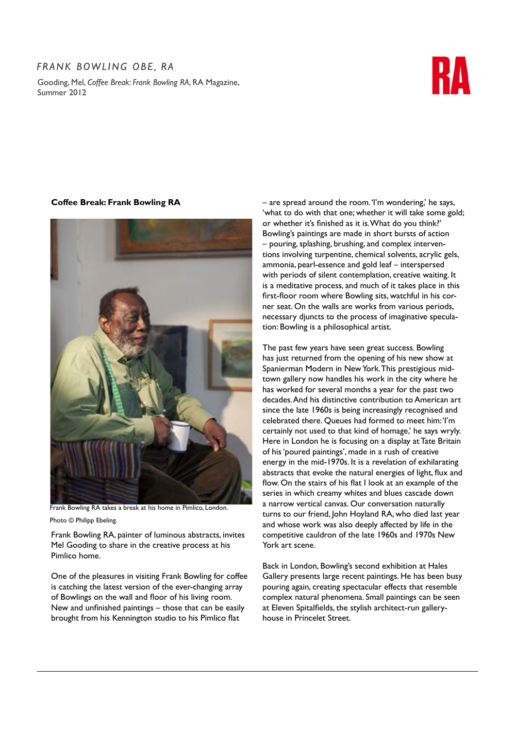## *Frank Bowling OBE, RA*

Gooding, Mel, *Coffee Break: Frank Bowling RA*, RA Magazine, Summer 2012



## **Coffee Break: Frank Bowling RA**



Frank Bowling RA takes a break at his home in Pimlico, London.

Photo © Philipp Ebeling.

Frank Bowling RA, painter of luminous abstracts, invites Mel Gooding to share in the creative process at his Pimlico home.

One of the pleasures in visiting Frank Bowling for coffee is catching the latest version of the ever-changing array of Bowlings on the wall and floor of his living room. New and unfinished paintings – those that can be easily brought from his Kennington studio to his Pimlico flat

– are spread around the room. 'I'm wondering,' he says, 'what to do with that one; whether it will take some gold; or whether it's finished as it is. What do you think?' Bowling's paintings are made in short bursts of action – pouring, splashing, brushing, and complex interventions involving turpentine, chemical solvents, acrylic gels, ammonia, pearl-essence and gold leaf – interspersed with periods of silent contemplation, creative waiting. It is a meditative process, and much of it takes place in this first-floor room where Bowling sits, watchful in his corner seat. On the walls are works from various periods, necessary djuncts to the process of imaginative speculation: Bowling is a philosophical artist.

The past few years have seen great success. Bowling has just returned from the opening of his new show at Spanierman Modern in New York. This prestigious midtown gallery now handles his work in the city where he has worked for several months a year for the past two decades. And his distinctive contribution to American art since the late 1960s is being increasingly recognised and celebrated there. Queues had formed to meet him: 'I'm certainly not used to that kind of homage,' he says wryly. Here in London he is focusing on a display at Tate Britain of his 'poured paintings', made in a rush of creative energy in the mid-1970s. It is a revelation of exhilarating abstracts that evoke the natural energies of light, flux and flow. On the stairs of his flat I look at an example of the series in which creamy whites and blues cascade down a narrow vertical canvas. Our conversation naturally turns to our friend, John Hoyland RA, who died last year and whose work was also deeply affected by life in the competitive cauldron of the late 1960s and 1970s New York art scene.

Back in London, Bowling's second exhibition at Hales Gallery presents large recent paintings. He has been busy pouring again, creating spectacular effects that resemble complex natural phenomena. Small paintings can be seen at Eleven Spitalfields, the stylish architect-run galleryhouse in Princelet Street.